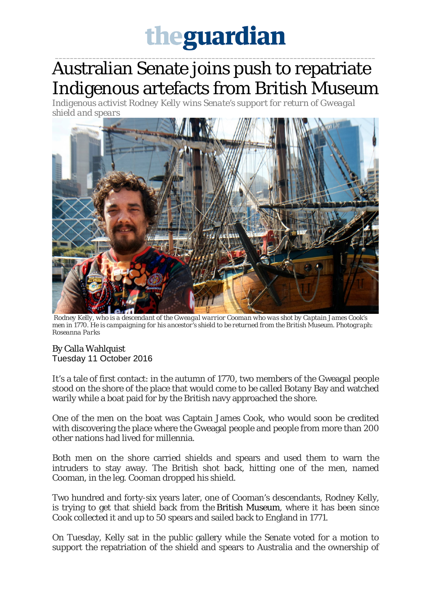## theguardian

\_\_\_\_\_\_\_\_\_\_\_\_\_\_\_\_\_\_\_\_\_\_\_\_\_\_\_\_\_\_\_\_\_\_\_\_\_\_\_\_\_\_\_\_\_\_\_\_\_\_\_\_\_\_\_\_\_\_\_\_\_\_\_\_\_\_\_\_\_\_\_\_\_\_\_\_\_\_\_\_\_\_\_\_\_\_

## Australian Senate joins push to repatriate Indigenous artefacts from British Museum

*Indigenous activ[ist Rodney Kelly wins Senate's support for return of Gweagal](https://www.theguardian.com/australia-news/2016/oct/11/australian-senate-joins-push-to-repatriate-indigenous-artefacts-from-british-museum#img-1)  [shield and spears](https://www.theguardian.com/australia-news/2016/oct/11/australian-senate-joins-push-to-repatriate-indigenous-artefacts-from-british-museum#img-1)*



*Rodney Kelly, who is a descendant of the Gweagal warrior Cooman who was shot by Captain James Cook's men in 1770. He is campaigning for his ancestor's shield to be returned from the British Museum. Photograph: Roseanna Parks*

## By Calla Wahlquist Tuesday 11 October 2016

It's a tale of first contact: in the autumn of 1770, two members of the Gweagal people stood on the shore of the place that would come to be called Botany Bay and watched warily while a boat paid for by the British navy approached the shore.

One of the men on the boat was Captain James Cook, who would soon be credited with discovering the place where the Gweagal people and people from more than 200 other nations had lived for millennia.

Both men on the shore carried shields and spears and used them to warn the intruders to stay away. The British shot back, hitting one of the men, named Cooman, in the leg. Cooman dropped his shield.

Two hundred and forty-six years later, one of Cooman's descendants, Rodney Kelly, is trying to get that shield back from the British Museum, where it has been since Cook collected it and up to 50 spears and sailed back to England in 1771.

On Tuesday, Kelly sat in the public gallery while the Senate voted for a motion to support the repatriation of the shield and spears to Australia and the ownership of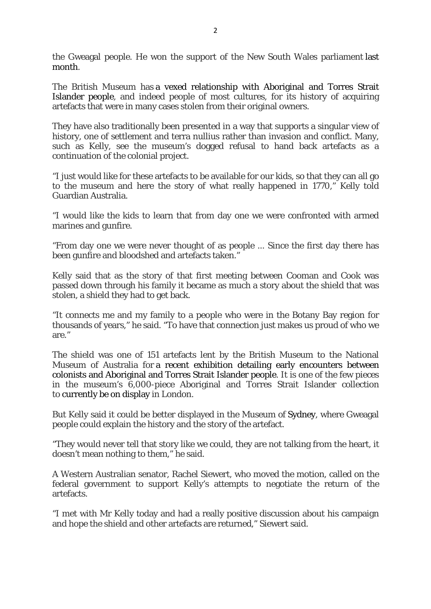the Gweagal people. He won the support of the New South Wales parliament last month.

The British Museum has a vexed relationship with Aboriginal and Torres Strait Islander people, and indeed people of most cultures, for its history of acquiring artefacts that were in many cases stolen from their original owners.

They have also traditionally been presented in a way that supports a singular view of history, one of settlement and terra nullius rather than invasion and conflict. Many, such as Kelly, see the museum's dogged refusal to hand back artefacts as a continuation of the colonial project.

"I just would like for these artefacts to be available for our kids, so that they can all go to the museum and here the story of what really happened in 1770," Kelly told Guardian Australia.

"I would like the kids to learn that from day one we were confronted with armed marines and gunfire.

"From day one we were never thought of as people ... Since the first day there has been gunfire and bloodshed and artefacts taken."

Kelly said that as the story of that first meeting between Cooman and Cook was passed down through his family it became as much a story about the shield that was stolen, a shield they had to get back.

"It connects me and my family to a people who were in the Botany Bay region for thousands of years," he said. "To have that connection just makes us proud of who we are."

The shield was one of 151 artefacts lent by the British Museum to the National Museum of Australia for a recent exhibition detailing early encounters between colonists and Aboriginal and Torres Strait Islander people. It is one of the few pieces in the museum's 6,000-piece Aboriginal and Torres Strait Islander collection to currently be on display in London.

But Kelly said it could be better displayed in the Museum of Sydney, where Gweagal people could explain the history and the story of the artefact.

"They would never tell that story like we could, they are not talking from the heart, it doesn't mean nothing to them," he said.

A Western Australian senator, Rachel Siewert, who moved the motion, called on the federal government to support Kelly's attempts to negotiate the return of the artefacts.

"I met with Mr Kelly today and had a really positive discussion about his campaign and hope the shield and other artefacts are returned," Siewert said.